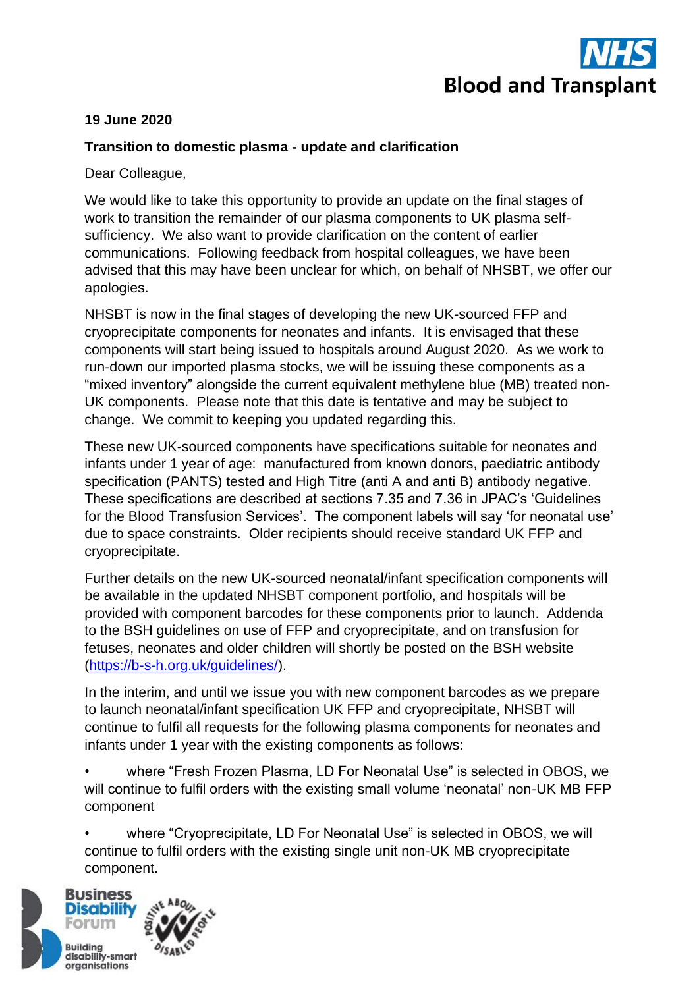

## **19 June 2020**

## **Transition to domestic plasma - update and clarification**

Dear Colleague,

We would like to take this opportunity to provide an update on the final stages of work to transition the remainder of our plasma components to UK plasma selfsufficiency. We also want to provide clarification on the content of earlier communications. Following feedback from hospital colleagues, we have been advised that this may have been unclear for which, on behalf of NHSBT, we offer our apologies.

NHSBT is now in the final stages of developing the new UK-sourced FFP and cryoprecipitate components for neonates and infants. It is envisaged that these components will start being issued to hospitals around August 2020. As we work to run-down our imported plasma stocks, we will be issuing these components as a "mixed inventory" alongside the current equivalent methylene blue (MB) treated non-UK components. Please note that this date is tentative and may be subject to change. We commit to keeping you updated regarding this.

These new UK-sourced components have specifications suitable for neonates and infants under 1 year of age: manufactured from known donors, paediatric antibody specification (PANTS) tested and High Titre (anti A and anti B) antibody negative. These specifications are described at sections 7.35 and 7.36 in JPAC's 'Guidelines for the Blood Transfusion Services'. The component labels will say 'for neonatal use' due to space constraints. Older recipients should receive standard UK FFP and cryoprecipitate.

Further details on the new UK-sourced neonatal/infant specification components will be available in the updated NHSBT component portfolio, and hospitals will be provided with component barcodes for these components prior to launch. Addenda to the BSH guidelines on use of FFP and cryoprecipitate, and on transfusion for fetuses, neonates and older children will shortly be posted on the BSH website [\(https://b-s-h.org.uk/guidelines/\)](https://b-s-h.org.uk/guidelines/).

In the interim, and until we issue you with new component barcodes as we prepare to launch neonatal/infant specification UK FFP and cryoprecipitate, NHSBT will continue to fulfil all requests for the following plasma components for neonates and infants under 1 year with the existing components as follows:

• where "Fresh Frozen Plasma, LD For Neonatal Use" is selected in OBOS, we will continue to fulfil orders with the existing small volume 'neonatal' non-UK MB FFP component

• where "Cryoprecipitate, LD For Neonatal Use" is selected in OBOS, we will continue to fulfil orders with the existing single unit non-UK MB cryoprecipitate component.